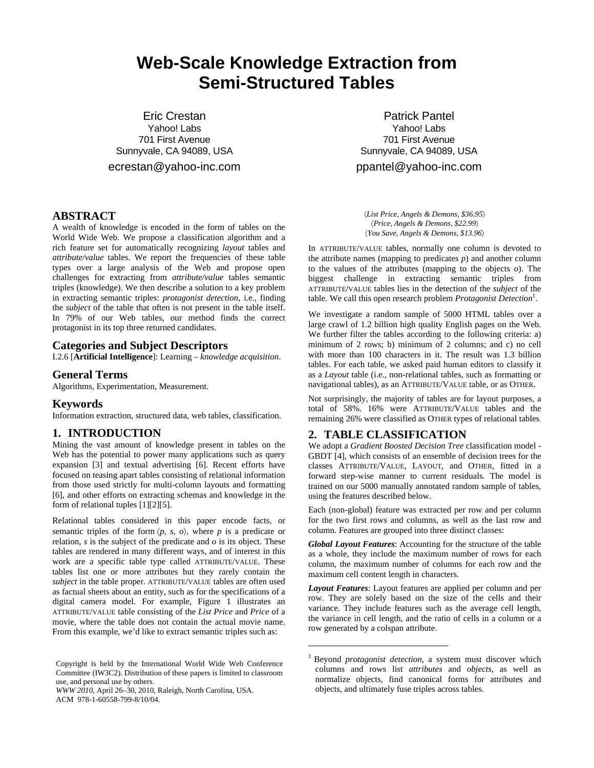# **Web-Scale Knowledge Extraction from Semi-Structured Tables**

Eric Crestan Yahoo! Labs 701 First Avenue Sunnyvale, CA 94089, USA

ecrestan@yahoo-inc.com

## **ABSTRACT**

A wealth of knowledge is encoded in the form of tables on the World Wide Web. We propose a classification algorithm and a rich feature set for automatically recognizing *layout* tables and *attribute/value* tables. We report the frequencies of these table types over a large analysis of the Web and propose open challenges for extracting from *attribute/value* tables semantic triples (knowledge). We then describe a solution to a key problem in extracting semantic triples: *protagonist detection*, i.e., finding the *subject* of the table that often is not present in the table itself. In 79% of our Web tables, our method finds the correct protagonist in its top three returned candidates.

### **Categories and Subject Descriptors**

I.2.6 [**Artificial Intelligence**]: Learning – *knowledge acquisition*.

#### **General Terms**

Algorithms, Experimentation, Measurement.

#### **Keywords**

Information extraction, structured data, web tables, classification.

#### **1. INTRODUCTION**

Mining the vast amount of knowledge present in tables on the Web has the potential to power many applications such as query expansion [3] and textual advertising [6]. Recent efforts have focused on teasing apart tables consisting of relational information from those used strictly for multi-column layouts and formatting [6], and other efforts on extracting schemas and knowledge in the form of relational tuples [1][2][5].

Relational tables considered in this paper encode facts, or semantic triples of the form  $\langle p, s, \rho \rangle$ , where p is a predicate or relation,  $s$  is the subject of the predicate and  $o$  is its object. These tables are rendered in many different ways, and of interest in this work are a specific table type called ATTRIBUTE/VALUE. These tables list one or more attributes but they rarely contain the *subject* in the table proper. ATTRIBUTE/VALUE tables are often used as factual sheets about an entity, such as for the specifications of a digital camera model. For example, Figure 1 illustrates an ATTRIBUTE/VALUE table consisting of the *List Price* and *Price* of a movie, where the table does not contain the actual movie name. From this example, we'd like to extract semantic triples such as:

*WWW 2010*, April 26–30, 2010, Raleigh, North Carolina, USA. ACM 978-1-60558-799-8/10/04.

Patrick Pantel Yahoo! Labs 701 First Avenue Sunnyvale, CA 94089, USA

ppantel@yahoo-inc.com

〈*List Price*, *Angels & Demons*, *\$36.95*〉 〈*Price*, *Angels & Demons*, *\$22.99*〉 〈*You Save*, *Angels & Demons*, *\$13.96*〉

In ATTRIBUTE/VALUE tables, normally one column is devoted to the attribute names (mapping to predicates  $p$ ) and another column to the values of the attributes (mapping to the objects *o*). The biggest challenge in extracting semantic triples from ATTRIBUTE/VALUE tables lies in the detection of the *subject* of the table. We call this open research problem *Protagonist Detection*<sup>1</sup>.

We investigate a random sample of 5000 HTML tables over a large crawl of 1.2 billion high quality English pages on the Web. We further filter the tables according to the following criteria: a) minimum of 2 rows; b) minimum of 2 columns; and c) no cell with more than 100 characters in it. The result was 1.3 billion tables. For each table, we asked paid human editors to classify it as a *Layout* table (i.e., non-relational tables, such as formatting or navigational tables), as an ATTRIBUTE/VALUE table, or as OTHER.

Not surprisingly, the majority of tables are for layout purposes, a total of 58%. 16% were ATTRIBUTE/VALUE tables and the remaining 26% were classified as OTHER types of relational tables.

## **2. TABLE CLASSIFICATION**

1

We adopt a *Gradient Boosted Decision Tree* classification model - GBDT [4], which consists of an ensemble of decision trees for the classes ATTRIBUTE/VALUE, LAYOUT, and OTHER, fitted in a forward step-wise manner to current residuals. The model is trained on our 5000 manually annotated random sample of tables, using the features described below.

Each (non-global) feature was extracted per row and per column for the two first rows and columns, as well as the last row and column. Features are grouped into three distinct classes:

*Global Layout Features*: Accounting for the structure of the table as a whole, they include the maximum number of rows for each column, the maximum number of columns for each row and the maximum cell content length in characters.

*Layout Features*: Layout features are applied per column and per row. They are solely based on the size of the cells and their variance. They include features such as the average cell length, the variance in cell length, and the ratio of cells in a column or a row generated by a colspan attribute.

Copyright is held by the International World Wide Web Conference Committee (IW3C2). Distribution of these papers is limited to classroom use, and personal use by others.

<sup>&</sup>lt;sup>1</sup> Beyond *protagonist detection*, a system must discover which columns and rows list *attributes* and *objects*, as well as normalize objects, find canonical forms for attributes and objects, and ultimately fuse triples across tables.